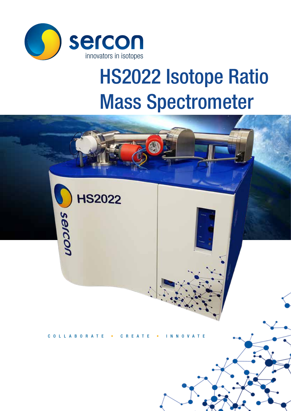

# HS2022 Isotope Ratio Mass Spectrometer

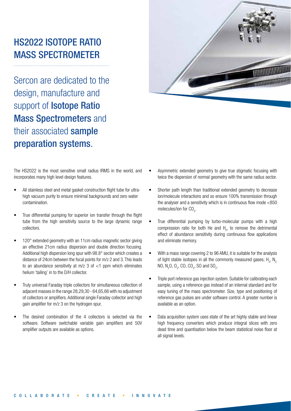# HS2022 ISOTOPE RATIO MASS SPECTROMETER

Sercon are dedicated to the design, manufacture and support of **Isotope Ratio** Mass Spectrometers and their associated sample preparation systems.



- All stainless steel and metal gasket construction flight tube for ultrahigh vacuum purity to ensure minimal backgrounds and zero water contamination.
- True differential pumping for superior ion transfer through the flight tube from the high sensitivity source to the large dynamic range collectors.
- 120° extended geometry with an 11cm radius magnetic sector giving an effective 21cm radius dispersion and double direction focusing. Additional high dispersion long spur with 98.8° sector which creates a distance of 24cm between the focal points for m/z 2 and 3. This leads to an abundance sensitivity at  $m/z$  3 of  $<$ 1 ppm which eliminates helium 'tailing' in to the D/H collector.
- Truly universal Faraday triple collectors for simultaneous collection of adjacent masses in the range 28,29,30 - 64,65,66 with no adjustment of collectors or amplifiers. Additional single Faraday collector and high gain amplifier for m/z 3 on the hydrogen spur.
- The desired combination of the 4 collectors is selected via the software. Software switchable variable gain amplifiers and 50V amplifier outputs are available as options.



- Asymmetric extended geometry to give true stigmatic focusing with twice the dispersion of normal geometry with the same radius sector.
- Shorter path length than traditional extended geometry to decrease ion/molecule interactions and so ensure 100% transmission through the analyser and a sensitivity which is in continuous flow mode <850 molecules/ion for  $CO<sub>2</sub>$ .
- True differential pumping by turbo-molecular pumps with a high compression ratio for both He and  $H_2$ , to remove the detrimental effect of abundance sensitivity during continuous flow applications and eliminate memory.
- With a mass range covering 2 to 96 AMU, it is suitable for the analysis of light stable isotopes in all the commonly measured gases;  $H_2$ ,  $N_2$ NO, N<sub>2</sub>O, O<sub>2</sub>, CO, CO<sub>2</sub>, SO and SO<sub>2</sub>.
- Triple port reference gas injection system. Suitable for calibrating each sample, using a reference gas instead of an internal standard and for easy tuning of the mass spectrometer. Size, type and positioning of reference gas pulses are under software control. A greater number is available as an option.
- Data acquisition system uses state of the art highly stable and linear high frequency converters which produce integral slices with zero dead time and quantisation below the beam statistical noise floor at all signal levels.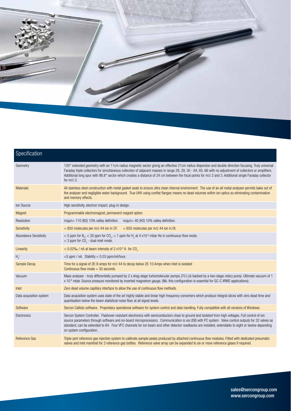

| Specification           |                                                                                                                                                                                                                                                                                                                                                                                                                                                                                             |
|-------------------------|---------------------------------------------------------------------------------------------------------------------------------------------------------------------------------------------------------------------------------------------------------------------------------------------------------------------------------------------------------------------------------------------------------------------------------------------------------------------------------------------|
| Geometry                | 120° extended geometry with an 11cm radius magnetic sector giving an effective 21cm radius dispersion and double direction focusing. Truly universal<br>Faraday triple collectors for simultaneous collection of adjacent masses in range 28, 29, 30 - 64, 65, 66 with no adjustment of collectors or amplifiers.<br>Additional long spur with 98.8° sector which creates a distance of 24 cm between the focal points for m/z 2 and 3. Additional single Faraday collector<br>for $m/z$ 3. |
| <b>Materials</b>        | All stainless steel construction with metal gasket seals to ensure ultra clean internal environment. The use of an all metal analyser permits bake out of<br>the analyser and negligible water background. True UHV using conflat flanges means no dead volumes within ion optics so eliminating contamination<br>and memory effects.                                                                                                                                                       |
| Ion Source              | High sensitivity, electron impact, plug-in design.                                                                                                                                                                                                                                                                                                                                                                                                                                          |
| Magnet                  | Programmable electromagnet, permanent magnet option                                                                                                                                                                                                                                                                                                                                                                                                                                         |
| Resolution              | $m/\Delta m$ = 110 (N2) 10% valley definition. $m/\Delta m$ = 40 (H2) 10% valley definition.                                                                                                                                                                                                                                                                                                                                                                                                |
| Sensitivity             | < 850 molecules per m/z 44 ion in CF.<br>$<$ 650 molecules per m/z 44 ion in DI.                                                                                                                                                                                                                                                                                                                                                                                                            |
| Abundance Sensitivity   | < 5 ppm for N <sub>2</sub> , < 30 ppm for CO <sub>2</sub> , < 1 ppm for H <sub>2</sub> at 4 x10 <sup>-6</sup> mbar He in continuous-flow mode.<br>$<$ 3 ppm for CO <sub>2</sub> - dual-inlet mode.                                                                                                                                                                                                                                                                                          |
| Linearity               | $<$ 0.02% / nA at beam intensity of 2 x10 <sup>-8</sup> A for CO <sub>2</sub>                                                                                                                                                                                                                                                                                                                                                                                                               |
| $H_3^+$                 | <5 ppm / nA. Stability < 0.03 ppm/nA/hour.                                                                                                                                                                                                                                                                                                                                                                                                                                                  |
| Sample Decay            | Time for a signal of 2E-8 amps for m/z 44 to decay below 2E-10 Amps when inlet is isolated<br>Continuous flow mode $=$ 30 seconds                                                                                                                                                                                                                                                                                                                                                           |
| Vacuum                  | Mass analyser - truly differentially pumped by 2 x drag stage turbomolecular pumps (70 L/s) backed by a two-stage rotary pump. Ultimate vacuum of 1<br>x 10 <sup>-9</sup> mbar. Source pressure monitored by inverted magnetron gauge. (Nb. this configuration is essential for GC-C-IRMS applications).                                                                                                                                                                                    |
| Inlet                   | Zero dead volume capillary interface to allow the use of continuous flow methods.                                                                                                                                                                                                                                                                                                                                                                                                           |
| Data acquisition system | Data acquisition system uses state of the art highly stable and linear high frequency converters which produce integral slices with zero dead time and<br>quantisation below the beam statistical noise floor at all signal levels.                                                                                                                                                                                                                                                         |
| Software                | Sercon Callisto software. Proprietary operational software for system control and data handling. Fully compatible with all versions of Windows.                                                                                                                                                                                                                                                                                                                                             |
| Electronics             | Sercon System Controller. Flashover-resistant electronics with semiconductors close to ground and isolated from high voltages. Full control of ion<br>source parameters through software and on-board microprocessors. Communication is via USB with PC system. Valve control outputs for 32 valves as<br>standard, can be extended to 64. Four VFC channels for ion beam and other detector readbacks are installed, extendable to eight or twelve depending<br>on system configuration.   |
| Reference Gas           | Triple-port reference gas injection system to calibrate sample peaks produced by attached continuous flow modules. Fitted with dedicated pneumatic<br>valves and inlet manifold for 3 reference gas bottles. Reference valve array can be expanded to six or more reference gases if required.                                                                                                                                                                                              |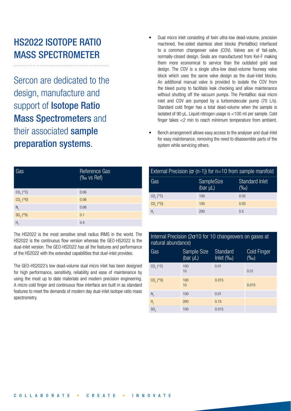# HS2022 ISOTOPE RATIO MASS SPECTROMETER

Sercon are dedicated to the design, manufacture and support of **Isotope Ratio** Mass Spectrometers and their associated sample preparation systems.

| Gas                      | Reference Gas<br>(‰ vs Ref) |
|--------------------------|-----------------------------|
| $CO2$ ( <sup>13</sup> C) | 0.06                        |
| $CO2$ ( <sup>18</sup> O) | 0.06                        |
| $N_{2}$                  | 0.06                        |
| $SO_2(^{34}S)$           | 0.1                         |
| H <sub>2</sub>           | 0.4                         |

The HS2022 is the most sensitive small radius IRMS in the world. The HS2022 is the continuous flow version whereas the GEO-HS2022 is the dual-inlet version. The GEO-HS2022 has all the features and performance of the HS2022 with the extended capabilities that duel-inlet provides.

The GEO-HS2022's low dead-volume dual micro inlet has been designed for high performance, sensitivity, reliability and ease of maintenance by using the most up to date materials and modern precision engineering. A micro cold finger and continuous flow interface are built in as standard features to meet the demands of modern day dual-inlet isotope ratio mass spectrometry.

- Dual micro inlet consisting of twin ultra-low dead-volume, precision machined, five-sided stainless steel blocks (PentaBloc) interfaced to a common changeover valve (COV). Valves are of fail-safe, normally-closed design. Seals are manufactured from Kel-F making them more economical to service than the outdated gold seal design. The COV is a single ultra-low dead-volume fourway valve block which uses the same valve design as the dual-inlet blocks. An additional manual valve is provided to isolate the COV from the bleed pump to facilitate leak checking and allow maintenance without shutting off the vacuum pumps. The PentaBloc dual micro inlet and COV are pumped by a turbomolecular pump (70 L/s). Standard cold finger has a total dead-volume when the sample is isolated of 90 µL. Liquid nitrogen usage is <100 ml per sample. Cold finger takes <2 min to reach minimum temperature from ambient.
- Bench arrangement allows easy access to the analyser and dual-inlet for easy maintenance, removing the need to disassemble parts of the system while servicing others.

| External Precision ( $\sigma$ (n-1)) for n=10 from sample manifold |                                     |                                  |  |  |  |
|--------------------------------------------------------------------|-------------------------------------|----------------------------------|--|--|--|
| Gas                                                                | <b>SampleSize</b><br>(bar $\mu L$ ) | <b>Standard Inlet</b><br>$(\%0)$ |  |  |  |
| $CO_{2}$ ( <sup>13</sup> C)                                        | 100                                 | 0.02                             |  |  |  |
| $CO2$ ( <sup>18</sup> O)                                           | 100                                 | 0.03                             |  |  |  |
| H                                                                  | 200                                 | 0.5                              |  |  |  |

## Internal Precision (2σ10 for 10 changeovers on gases at natural abundance)

| Gas                      | Sample Size<br>(bar µL) | Standard<br>Inlet $(\%$ o $)$ | <b>Cold Finger</b><br>$(\%0)$ |
|--------------------------|-------------------------|-------------------------------|-------------------------------|
| $CO2$ ( <sup>13</sup> C) | 100<br>10               | 0.01                          | 0.01                          |
| $CO2$ ( <sup>18</sup> O) | 100<br>10               | 0.015                         | 0.015                         |
| $N_{2}$                  | 100                     | 0.01                          |                               |
| H <sub>2</sub>           | 200                     | 0.15                          |                               |
| SO <sub>2</sub>          | 100                     | 0.015                         |                               |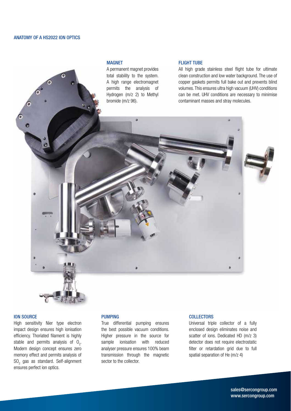#### ANATOMY OF A HS2022 ION OPTICS

#### MAGNET

A permanent magnet provides total stability to the system. A high range electromagnet permits the analysis of Hydrogen (m/z 2) to Methyl bromide (m/z 96).

#### FLIGHT TUBE

All high grade stainless steel flight tube for ultimate clean construction and low water background. The use of copper gaskets permits full bake out and prevents blind volumes. This ensures ultra high vacuum (UHV) conditions can be met. UHV conditions are necessary to minimise contaminant masses and stray molecules.



High sensitivity Nier type electron impact design ensures high ionisation efficiency. Thoriated filament is highly stable and permits analysis of  $O<sub>2</sub>$ . Modern design concept ensures zero memory effect and permits analysis of  $\mathrm{SO}_2$  gas as standard. Self-alignment ensures perfect ion optics.

#### PUMPING

True differential pumping ensures the best possible vacuum conditions. Higher pressure in the source for sample ionisation with reduced analyser pressure ensures 100% beam transmission through the magnetic sector to the collector.

#### **COLLECTORS**

Universal triple collector of a fully enclosed design eliminates noise and scatter of ions. Dedicated HD (m/z 3) detector does not require electrostatic filter or retardation grid due to full spatial separation of He (m/z 4)